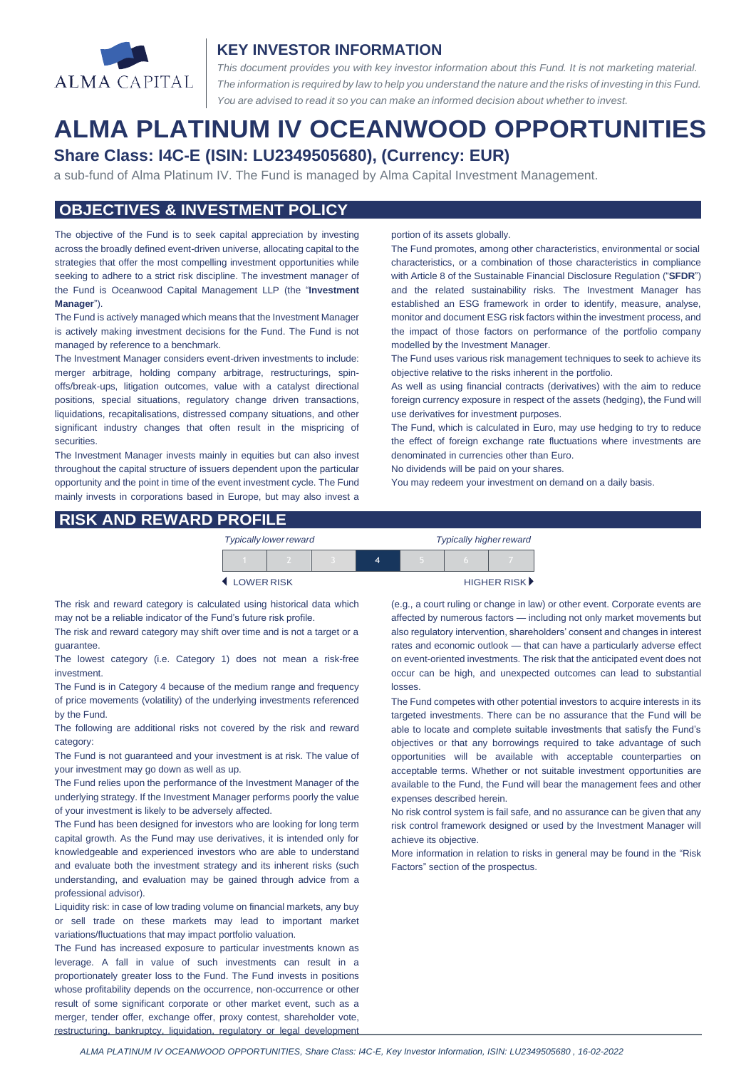

#### **KEY INVESTOR INFORMATION**

*This document provides you with key investor information about this Fund. It is not marketing material.*  The information is required by law to help you understand the nature and the risks of investing in this Fund. *You are advised to read it so you can make an informed decision about whether to invest.*

# **ALMA PLATINUM IV OCEANWOOD OPPORTUNITIES Share Class: I4C-E (ISIN: LU2349505680), (Currency: EUR)**

a sub-fund of Alma Platinum IV. The Fund is managed by Alma Capital Investment Management.

### **OBJECTIVES & INVESTMENT POLICY**

The objective of the Fund is to seek capital appreciation by investing across the broadly defined event-driven universe, allocating capital to the strategies that offer the most compelling investment opportunities while seeking to adhere to a strict risk discipline. The investment manager of the Fund is Oceanwood Capital Management LLP (the "**Investment Manager**").

The Fund is actively managed which means that the Investment Manager is actively making investment decisions for the Fund. The Fund is not managed by reference to a benchmark.

The Investment Manager considers event-driven investments to include: merger arbitrage, holding company arbitrage, restructurings, spinoffs/break-ups, litigation outcomes, value with a catalyst directional positions, special situations, regulatory change driven transactions, liquidations, recapitalisations, distressed company situations, and other significant industry changes that often result in the mispricing of securities.

The Investment Manager invests mainly in equities but can also invest throughout the capital structure of issuers dependent upon the particular opportunity and the point in time of the event investment cycle. The Fund mainly invests in corporations based in Europe, but may also invest a portion of its assets globally.

The Fund promotes, among other characteristics, environmental or social characteristics, or a combination of those characteristics in compliance with Article 8 of the Sustainable Financial Disclosure Regulation ("**SFDR**") and the related sustainability risks. The Investment Manager has established an ESG framework in order to identify, measure, analyse, monitor and document ESG risk factors within the investment process, and the impact of those factors on performance of the portfolio company modelled by the Investment Manager.

The Fund uses various risk management techniques to seek to achieve its objective relative to the risks inherent in the portfolio.

As well as using financial contracts (derivatives) with the aim to reduce foreign currency exposure in respect of the assets (hedging), the Fund will use derivatives for investment purposes.

The Fund, which is calculated in Euro, may use hedging to try to reduce the effect of foreign exchange rate fluctuations where investments are denominated in currencies other than Euro.

No dividends will be paid on your shares.

You may redeem your investment on demand on a daily basis.

#### **RISK AND REWARD PROFILE**

| <b>Typically lower reward</b> |  |  |   | <b>Typically higher reward</b> |  |                             |
|-------------------------------|--|--|---|--------------------------------|--|-----------------------------|
|                               |  |  | Δ |                                |  |                             |
| <b>↓ LOWER RISK</b>           |  |  |   |                                |  | HIGHER RISK <sup>&gt;</sup> |

The risk and reward category is calculated using historical data which may not be a reliable indicator of the Fund's future risk profile.

The risk and reward category may shift over time and is not a target or a guarantee.

The lowest category (i.e. Category 1) does not mean a risk-free investment.

The Fund is in Category 4 because of the medium range and frequency of price movements (volatility) of the underlying investments referenced by the Fund.

The following are additional risks not covered by the risk and reward category:

The Fund is not guaranteed and your investment is at risk. The value of your investment may go down as well as up.

The Fund relies upon the performance of the Investment Manager of the underlying strategy. If the Investment Manager performs poorly the value of your investment is likely to be adversely affected.

The Fund has been designed for investors who are looking for long term capital growth. As the Fund may use derivatives, it is intended only for knowledgeable and experienced investors who are able to understand and evaluate both the investment strategy and its inherent risks (such understanding, and evaluation may be gained through advice from a professional advisor).

Liquidity risk: in case of low trading volume on financial markets, any buy or sell trade on these markets may lead to important market variations/fluctuations that may impact portfolio valuation.

The Fund has increased exposure to particular investments known as leverage. A fall in value of such investments can result in a proportionately greater loss to the Fund. The Fund invests in positions whose profitability depends on the occurrence, non-occurrence or other result of some significant corporate or other market event, such as a merger, tender offer, exchange offer, proxy contest, shareholder vote, restructuring, bankruptcy, liquidation, regulatory or legal development (e.g., a court ruling or change in law) or other event. Corporate events are affected by numerous factors — including not only market movements but also regulatory intervention, shareholders' consent and changes in interest rates and economic outlook — that can have a particularly adverse effect on event-oriented investments. The risk that the anticipated event does not occur can be high, and unexpected outcomes can lead to substantial losses.

The Fund competes with other potential investors to acquire interests in its targeted investments. There can be no assurance that the Fund will be able to locate and complete suitable investments that satisfy the Fund's objectives or that any borrowings required to take advantage of such opportunities will be available with acceptable counterparties on acceptable terms. Whether or not suitable investment opportunities are available to the Fund, the Fund will bear the management fees and other expenses described herein.

No risk control system is fail safe, and no assurance can be given that any risk control framework designed or used by the Investment Manager will achieve its objective.

More information in relation to risks in general may be found in the "Risk Factors" section of the prospectus.